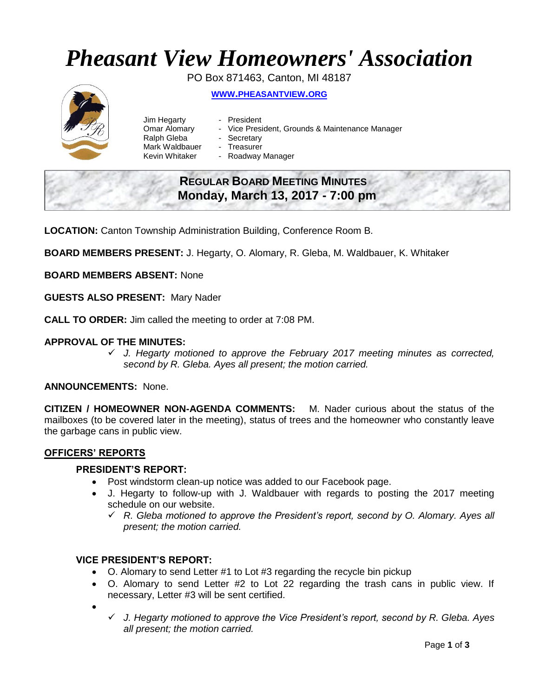# *Pheasant View Homeowners' Association*

PO Box 871463, Canton, MI 48187



**WWW.[PHEASANTVIEW](http://www.pheasantview.org/).ORG**

- Jim Hegarty President
	-
- Omar Alomary Vice President, Grounds & Maintenance Manager
- Ralph Gleba Secretary
- Mark Waldbauer Treasurer
- Kevin Whitaker Roadway Manager

# **REGULAR BOARD MEETING MINUTES Monday, March 13, 2017 - 7:00 pm**

**LOCATION:** Canton Township Administration Building, Conference Room B.

**BOARD MEMBERS PRESENT:** J. Hegarty, O. Alomary, R. Gleba, M. Waldbauer, K. Whitaker

**BOARD MEMBERS ABSENT:** None

**GUESTS ALSO PRESENT:** Mary Nader

**CALL TO ORDER:** Jim called the meeting to order at 7:08 PM.

# **APPROVAL OF THE MINUTES:**

 *J. Hegarty motioned to approve the February 2017 meeting minutes as corrected, second by R. Gleba. Ayes all present; the motion carried.*

# **ANNOUNCEMENTS:** None.

**CITIZEN / HOMEOWNER NON-AGENDA COMMENTS:** M. Nader curious about the status of the mailboxes (to be covered later in the meeting), status of trees and the homeowner who constantly leave the garbage cans in public view.

# **OFFICERS' REPORTS**

#### **PRESIDENT'S REPORT:**

- Post windstorm clean-up notice was added to our Facebook page.
- J. Hegarty to follow-up with J. Waldbauer with regards to posting the 2017 meeting schedule on our website.
	- *R. Gleba motioned to approve the President's report, second by O. Alomary. Ayes all present; the motion carried.*

# **VICE PRESIDENT'S REPORT:**

- O. Alomary to send Letter #1 to Lot #3 regarding the recycle bin pickup
- O. Alomary to send Letter #2 to Lot 22 regarding the trash cans in public view. If necessary, Letter #3 will be sent certified.
- $\bullet$ 
	- *J. Hegarty motioned to approve the Vice President's report, second by R. Gleba. Ayes all present; the motion carried.*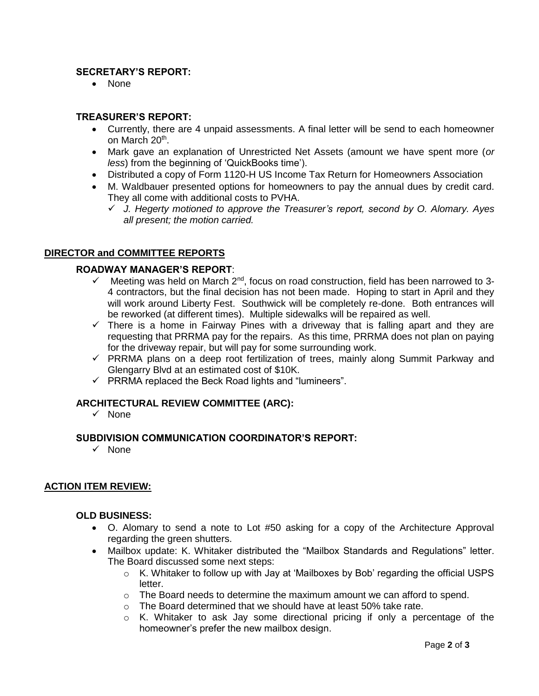# **SECRETARY'S REPORT:**

• None

# **TREASURER'S REPORT:**

- Currently, there are 4 unpaid assessments. A final letter will be send to each homeowner on March 20<sup>th</sup>.
- Mark gave an explanation of Unrestricted Net Assets (amount we have spent more (*or less*) from the beginning of 'QuickBooks time').
- Distributed a copy of Form 1120-H US Income Tax Return for Homeowners Association
- M. Waldbauer presented options for homeowners to pay the annual dues by credit card. They all come with additional costs to PVHA.
	- *J. Hegerty motioned to approve the Treasurer's report, second by O. Alomary. Ayes all present; the motion carried.*

### **DIRECTOR and COMMITTEE REPORTS**

#### **ROADWAY MANAGER'S REPORT**:

- Meeting was held on March 2<sup>nd</sup>, focus on road construction, field has been narrowed to 3-4 contractors, but the final decision has not been made. Hoping to start in April and they will work around Liberty Fest. Southwick will be completely re-done. Both entrances will be reworked (at different times). Multiple sidewalks will be repaired as well.
- $\checkmark$  There is a home in Fairway Pines with a driveway that is falling apart and they are requesting that PRRMA pay for the repairs. As this time, PRRMA does not plan on paying for the driveway repair, but will pay for some surrounding work.
- $\checkmark$  PRRMA plans on a deep root fertilization of trees, mainly along Summit Parkway and Glengarry Blvd at an estimated cost of \$10K.
- $\checkmark$  PRRMA replaced the Beck Road lights and "lumineers".

#### **ARCHITECTURAL REVIEW COMMITTEE (ARC):**

 $\checkmark$  None

#### **SUBDIVISION COMMUNICATION COORDINATOR'S REPORT:**

 $\checkmark$  None

#### **ACTION ITEM REVIEW:**

#### **OLD BUSINESS:**

- O. Alomary to send a note to Lot #50 asking for a copy of the Architecture Approval regarding the green shutters.
- Mailbox update: K. Whitaker distributed the "Mailbox Standards and Regulations" letter. The Board discussed some next steps:
	- $\circ$  K. Whitaker to follow up with Jay at 'Mailboxes by Bob' regarding the official USPS letter.
	- $\circ$  The Board needs to determine the maximum amount we can afford to spend.
	- o The Board determined that we should have at least 50% take rate.
	- o K. Whitaker to ask Jay some directional pricing if only a percentage of the homeowner's prefer the new mailbox design.